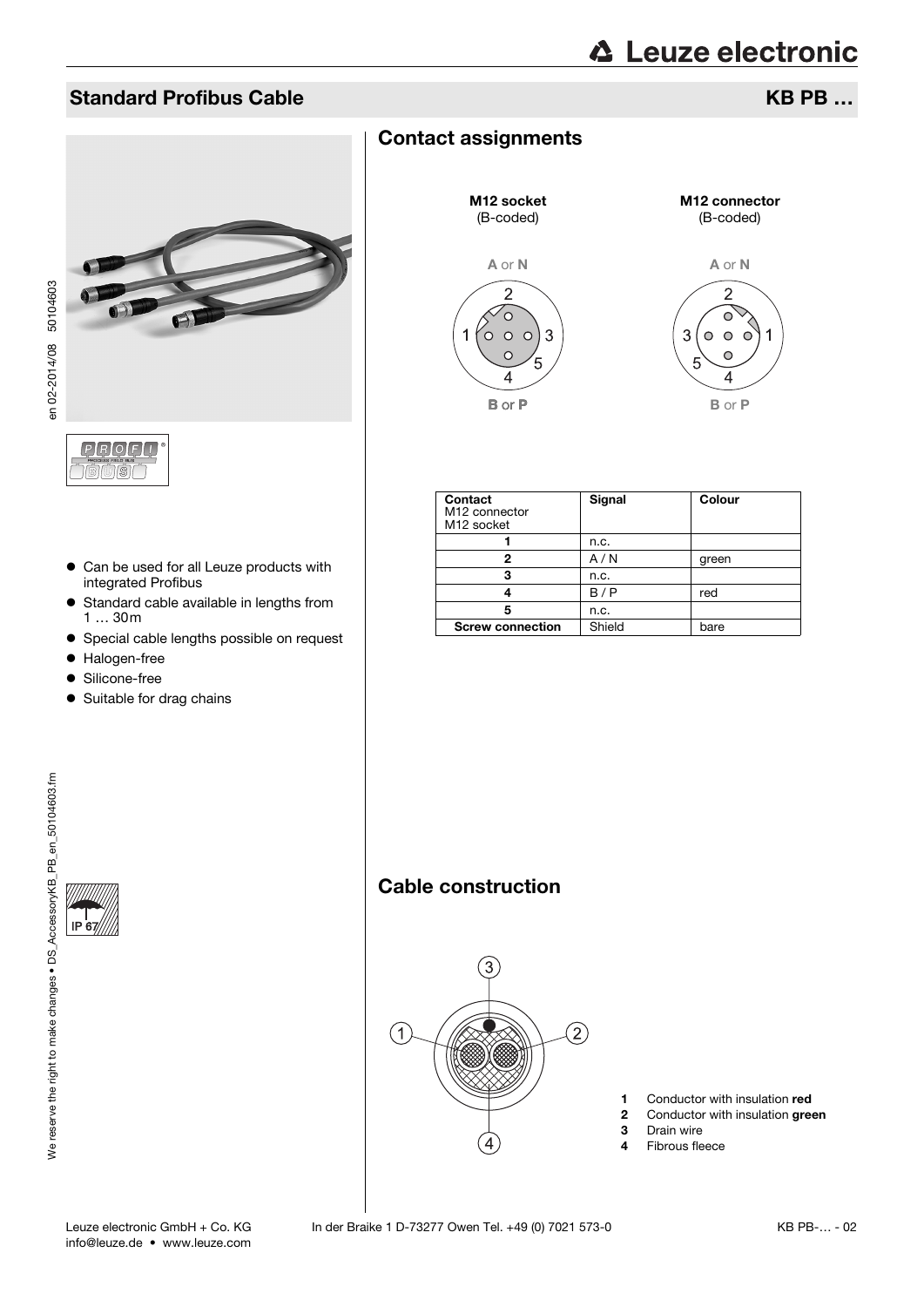## Standard Profibus Cable **KB PB …** All the Standard Profibus Cable KB PB … **KB PB** …

 $\bigcap$ 



- en 02-2014/08 50104603 en 02-2014/08 50104603
- Can be used for all Leuze products with integrated Profibus
- Standard cable available in lengths from 1 … 30m
- **•** Special cable lengths possible on request
- Halogen-free
- **•** Silicone-free
- Suitable for drag chains

## Contact assignments



| Contact<br>M <sub>12</sub> connector<br>M <sub>12</sub> socket | Signal | Colour |
|----------------------------------------------------------------|--------|--------|
|                                                                | n.c.   |        |
| 2                                                              | A/N    | green  |
| з                                                              | n.c.   |        |
|                                                                | B/P    | red    |
| 5                                                              | n.c.   |        |
| <b>Screw connection</b>                                        | Shield | bare   |

## Cable construction



- 1 Conductor with insulation red
- 2 Conductor with insulation green<br>3 Drain wire
- 3 Drain wire<br>4 Fibrous fle
- Fibrous fleece

 $IP<sub>6</sub>$